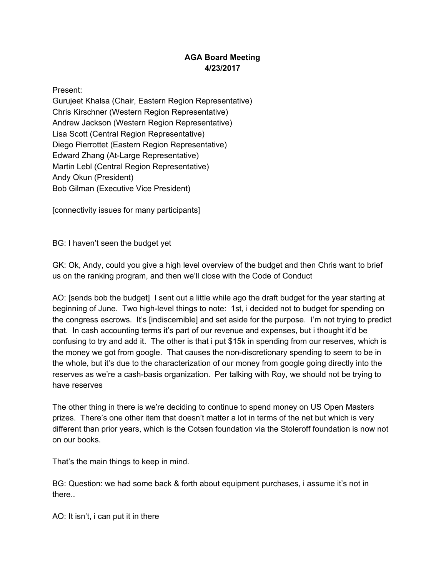# **AGA Board Meeting 4/23/2017**

Present:

Gurujeet Khalsa (Chair, Eastern Region Representative) Chris Kirschner (Western Region Representative) Andrew Jackson (Western Region Representative) Lisa Scott (Central Region Representative) Diego Pierrottet (Eastern Region Representative) Edward Zhang (At-Large Representative) Martin Lebl (Central Region Representative) Andy Okun (President) Bob Gilman (Executive Vice President)

[connectivity issues for many participants]

BG: I haven't seen the budget yet

GK: Ok, Andy, could you give a high level overview of the budget and then Chris want to brief us on the ranking program, and then we'll close with the Code of Conduct

AO: [sends bob the budget] I sent out a little while ago the draft budget for the year starting at beginning of June. Two high-level things to note: 1st, i decided not to budget for spending on the congress escrows. It's [indiscernible] and set aside for the purpose. I'm not trying to predict that. In cash accounting terms it's part of our revenue and expenses, but i thought it'd be confusing to try and add it. The other is that i put \$15k in spending from our reserves, which is the money we got from google. That causes the non-discretionary spending to seem to be in the whole, but it's due to the characterization of our money from google going directly into the reserves as we're a cash-basis organization. Per talking with Roy, we should not be trying to have reserves

The other thing in there is we're deciding to continue to spend money on US Open Masters prizes. There's one other item that doesn't matter a lot in terms of the net but which is very different than prior years, which is the Cotsen foundation via the Stoleroff foundation is now not on our books.

That's the main things to keep in mind.

BG: Question: we had some back & forth about equipment purchases, i assume it's not in there..

AO: It isn't, i can put it in there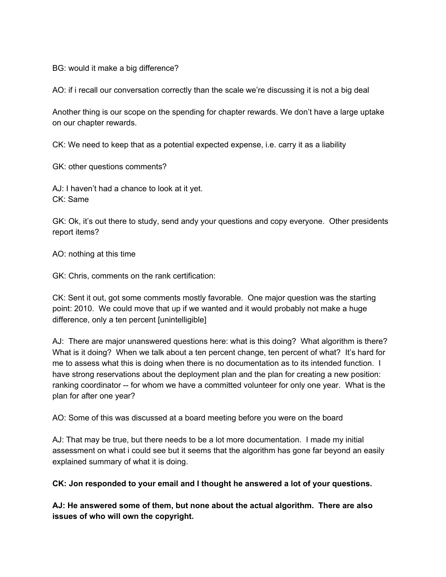BG: would it make a big difference?

AO: if i recall our conversation correctly than the scale we're discussing it is not a big deal

Another thing is our scope on the spending for chapter rewards. We don't have a large uptake on our chapter rewards.

CK: We need to keep that as a potential expected expense, i.e. carry it as a liability

GK: other questions comments?

AJ: I haven't had a chance to look at it yet. CK: Same

GK: Ok, it's out there to study, send andy your questions and copy everyone. Other presidents report items?

AO: nothing at this time

GK: Chris, comments on the rank certification:

CK: Sent it out, got some comments mostly favorable. One major question was the starting point: 2010. We could move that up if we wanted and it would probably not make a huge difference, only a ten percent [unintelligible]

AJ: There are major unanswered questions here: what is this doing? What algorithm is there? What is it doing? When we talk about a ten percent change, ten percent of what? It's hard for me to assess what this is doing when there is no documentation as to its intended function. I have strong reservations about the deployment plan and the plan for creating a new position: ranking coordinator -- for whom we have a committed volunteer for only one year. What is the plan for after one year?

AO: Some of this was discussed at a board meeting before you were on the board

AJ: That may be true, but there needs to be a lot more documentation. I made my initial assessment on what i could see but it seems that the algorithm has gone far beyond an easily explained summary of what it is doing.

**CK: Jon responded to your email and I thought he answered a lot of your questions.**

**AJ: He answered some of them, but none about the actual algorithm. There are also issues of who will own the copyright.**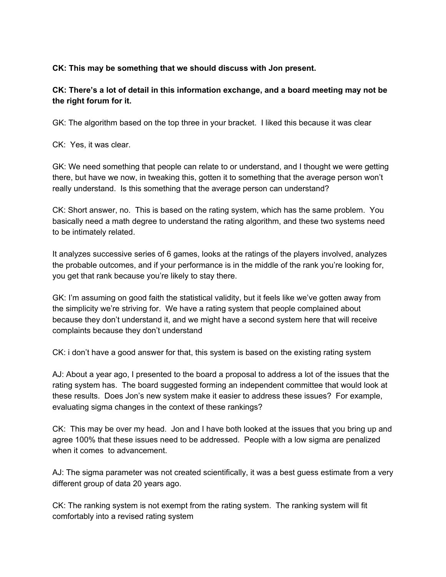### **CK: This may be something that we should discuss with Jon present.**

# **CK: There's a lot of detail in this information exchange, and a board meeting may not be the right forum for it.**

GK: The algorithm based on the top three in your bracket. I liked this because it was clear

CK: Yes, it was clear.

GK: We need something that people can relate to or understand, and I thought we were getting there, but have we now, in tweaking this, gotten it to something that the average person won't really understand. Is this something that the average person can understand?

CK: Short answer, no. This is based on the rating system, which has the same problem. You basically need a math degree to understand the rating algorithm, and these two systems need to be intimately related.

It analyzes successive series of 6 games, looks at the ratings of the players involved, analyzes the probable outcomes, and if your performance is in the middle of the rank you're looking for, you get that rank because you're likely to stay there.

GK: I'm assuming on good faith the statistical validity, but it feels like we've gotten away from the simplicity we're striving for. We have a rating system that people complained about because they don't understand it, and we might have a second system here that will receive complaints because they don't understand

CK: i don't have a good answer for that, this system is based on the existing rating system

AJ: About a year ago, I presented to the board a proposal to address a lot of the issues that the rating system has. The board suggested forming an independent committee that would look at these results. Does Jon's new system make it easier to address these issues? For example, evaluating sigma changes in the context of these rankings?

CK: This may be over my head. Jon and I have both looked at the issues that you bring up and agree 100% that these issues need to be addressed. People with a low sigma are penalized when it comes to advancement.

AJ: The sigma parameter was not created scientifically, it was a best guess estimate from a very different group of data 20 years ago.

CK: The ranking system is not exempt from the rating system. The ranking system will fit comfortably into a revised rating system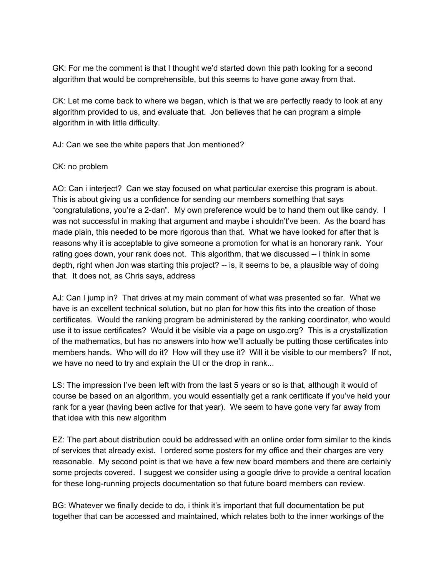GK: For me the comment is that I thought we'd started down this path looking for a second algorithm that would be comprehensible, but this seems to have gone away from that.

CK: Let me come back to where we began, which is that we are perfectly ready to look at any algorithm provided to us, and evaluate that. Jon believes that he can program a simple algorithm in with little difficulty.

AJ: Can we see the white papers that Jon mentioned?

### CK: no problem

AO: Can i interject? Can we stay focused on what particular exercise this program is about. This is about giving us a confidence for sending our members something that says "congratulations, you're a 2-dan". My own preference would be to hand them out like candy. I was not successful in making that argument and maybe i shouldn't've been. As the board has made plain, this needed to be more rigorous than that. What we have looked for after that is reasons why it is acceptable to give someone a promotion for what is an honorary rank. Your rating goes down, your rank does not. This algorithm, that we discussed -- i think in some depth, right when Jon was starting this project? -- is, it seems to be, a plausible way of doing that. It does not, as Chris says, address

AJ: Can I jump in? That drives at my main comment of what was presented so far. What we have is an excellent technical solution, but no plan for how this fits into the creation of those certificates. Would the ranking program be administered by the ranking coordinator, who would use it to issue certificates? Would it be visible via a page on usgo.org? This is a crystallization of the mathematics, but has no answers into how we'll actually be putting those certificates into members hands. Who will do it? How will they use it? Will it be visible to our members? If not, we have no need to try and explain the UI or the drop in rank...

LS: The impression I've been left with from the last 5 years or so is that, although it would of course be based on an algorithm, you would essentially get a rank certificate if you've held your rank for a year (having been active for that year). We seem to have gone very far away from that idea with this new algorithm

EZ: The part about distribution could be addressed with an online order form similar to the kinds of services that already exist. I ordered some posters for my office and their charges are very reasonable. My second point is that we have a few new board members and there are certainly some projects covered. I suggest we consider using a google drive to provide a central location for these long-running projects documentation so that future board members can review.

BG: Whatever we finally decide to do, i think it's important that full documentation be put together that can be accessed and maintained, which relates both to the inner workings of the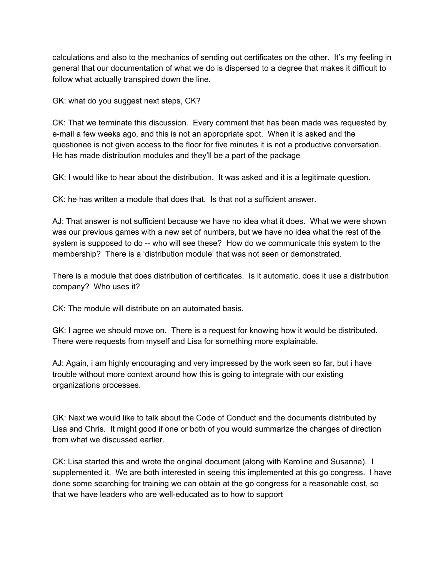calculations and also to the mechanics of sending out certificates on the other. It's my feeling in general that our documentation of what we do is dispersed to a degree that makes it difficult to follow what actually transpired down the line.

GK: what do you suggest next steps, CK?

CK: That we terminate this discussion. Every comment that has been made was requested by e-mail a few weeks ago, and this is not an appropriate spot. When it is asked and the questionee is not given access to the floor for five minutes it is not a productive conversation. He has made distribution modules and they'll be a part of the package

GK: I would like to hear about the distribution. It was asked and it is a legitimate question.

CK: he has written a module that does that. Is that not a sufficient answer.

AJ: That answer is not sufficient because we have no idea what it does. What we were shown was our previous games with a new set of numbers, but we have no idea what the rest of the system is supposed to do -- who will see these? How do we communicate this system to the membership? There is a 'distribution module' that was not seen or demonstrated.

There is a module that does distribution of certificates. Is it automatic, does it use a distribution company? Who uses it?

CK: The module will distribute on an automated basis.

GK: I agree we should move on. There is a request for knowing how it would be distributed. There were requests from myself and Lisa for something more explainable.

AJ: Again, i am highly encouraging and very impressed by the work seen so far, but i have trouble without more context around how this is going to integrate with our existing organizations processes.

GK: Next we would like to talk about the Code of Conduct and the documents distributed by Lisa and Chris. It might good if one or both of you would summarize the changes of direction from what we discussed earlier.

CK: Lisa started this and wrote the original document (along with Karoline and Susanna). I supplemented it. We are both interested in seeing this implemented at this go congress. I have done some searching for training we can obtain at the go congress for a reasonable cost, so that we have leaders who are well-educated as to how to support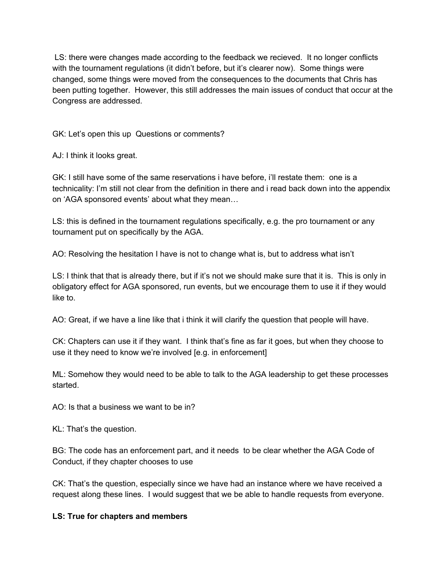LS: there were changes made according to the feedback we recieved. It no longer conflicts with the tournament regulations (it didn't before, but it's clearer now). Some things were changed, some things were moved from the consequences to the documents that Chris has been putting together. However, this still addresses the main issues of conduct that occur at the Congress are addressed.

GK: Let's open this up Questions or comments?

AJ: I think it looks great.

GK: I still have some of the same reservations i have before, i'll restate them: one is a technicality: I'm still not clear from the definition in there and i read back down into the appendix on 'AGA sponsored events' about what they mean…

LS: this is defined in the tournament regulations specifically, e.g. the pro tournament or any tournament put on specifically by the AGA.

AO: Resolving the hesitation I have is not to change what is, but to address what isn't

LS: I think that that is already there, but if it's not we should make sure that it is. This is only in obligatory effect for AGA sponsored, run events, but we encourage them to use it if they would like to.

AO: Great, if we have a line like that i think it will clarify the question that people will have.

CK: Chapters can use it if they want. I think that's fine as far it goes, but when they choose to use it they need to know we're involved [e.g. in enforcement]

ML: Somehow they would need to be able to talk to the AGA leadership to get these processes started.

AO: Is that a business we want to be in?

KL: That's the question.

BG: The code has an enforcement part, and it needs to be clear whether the AGA Code of Conduct, if they chapter chooses to use

CK: That's the question, especially since we have had an instance where we have received a request along these lines. I would suggest that we be able to handle requests from everyone.

## **LS: True for chapters and members**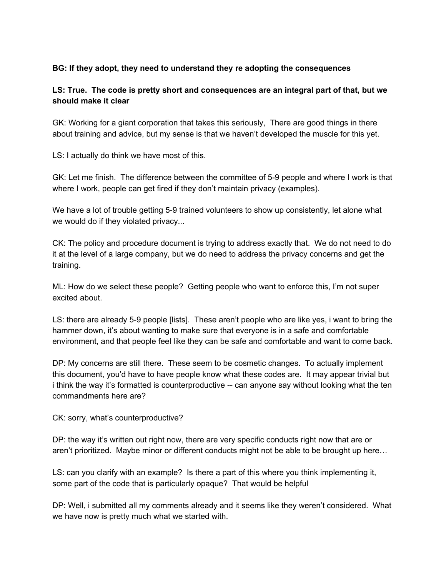### **BG: If they adopt, they need to understand they re adopting the consequences**

# **LS: True. The code is pretty short and consequences are an integral part of that, but we should make it clear**

GK: Working for a giant corporation that takes this seriously, There are good things in there about training and advice, but my sense is that we haven't developed the muscle for this yet.

LS: I actually do think we have most of this.

GK: Let me finish. The difference between the committee of 5-9 people and where I work is that where I work, people can get fired if they don't maintain privacy (examples).

We have a lot of trouble getting 5-9 trained volunteers to show up consistently, let alone what we would do if they violated privacy...

CK: The policy and procedure document is trying to address exactly that. We do not need to do it at the level of a large company, but we do need to address the privacy concerns and get the training.

ML: How do we select these people? Getting people who want to enforce this, I'm not super excited about.

LS: there are already 5-9 people [lists]. These aren't people who are like yes, i want to bring the hammer down, it's about wanting to make sure that everyone is in a safe and comfortable environment, and that people feel like they can be safe and comfortable and want to come back.

DP: My concerns are still there. These seem to be cosmetic changes. To actually implement this document, you'd have to have people know what these codes are. It may appear trivial but i think the way it's formatted is counterproductive -- can anyone say without looking what the ten commandments here are?

CK: sorry, what's counterproductive?

DP: the way it's written out right now, there are very specific conducts right now that are or aren't prioritized. Maybe minor or different conducts might not be able to be brought up here…

LS: can you clarify with an example? Is there a part of this where you think implementing it, some part of the code that is particularly opaque? That would be helpful

DP: Well, i submitted all my comments already and it seems like they weren't considered. What we have now is pretty much what we started with.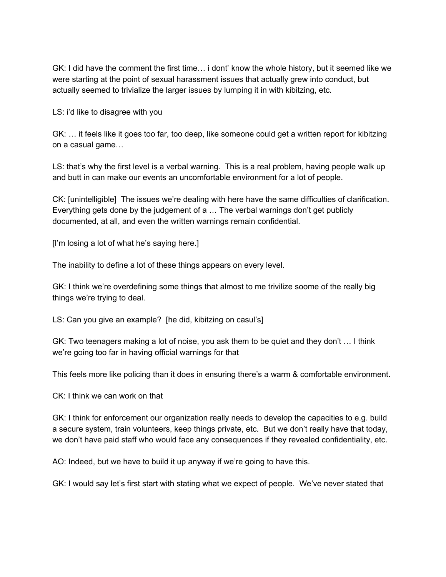GK: I did have the comment the first time… i dont' know the whole history, but it seemed like we were starting at the point of sexual harassment issues that actually grew into conduct, but actually seemed to trivialize the larger issues by lumping it in with kibitzing, etc.

LS: i'd like to disagree with you

GK: … it feels like it goes too far, too deep, like someone could get a written report for kibitzing on a casual game…

LS: that's why the first level is a verbal warning. This is a real problem, having people walk up and butt in can make our events an uncomfortable environment for a lot of people.

CK: [unintelligible] The issues we're dealing with here have the same difficulties of clarification. Everything gets done by the judgement of a … The verbal warnings don't get publicly documented, at all, and even the written warnings remain confidential.

[I'm losing a lot of what he's saying here.]

The inability to define a lot of these things appears on every level.

GK: I think we're overdefining some things that almost to me trivilize soome of the really big things we're trying to deal.

LS: Can you give an example? [he did, kibitzing on casul's]

GK: Two teenagers making a lot of noise, you ask them to be quiet and they don't … I think we're going too far in having official warnings for that

This feels more like policing than it does in ensuring there's a warm & comfortable environment.

CK: I think we can work on that

GK: I think for enforcement our organization really needs to develop the capacities to e.g. build a secure system, train volunteers, keep things private, etc. But we don't really have that today, we don't have paid staff who would face any consequences if they revealed confidentiality, etc.

AO: Indeed, but we have to build it up anyway if we're going to have this.

GK: I would say let's first start with stating what we expect of people. We've never stated that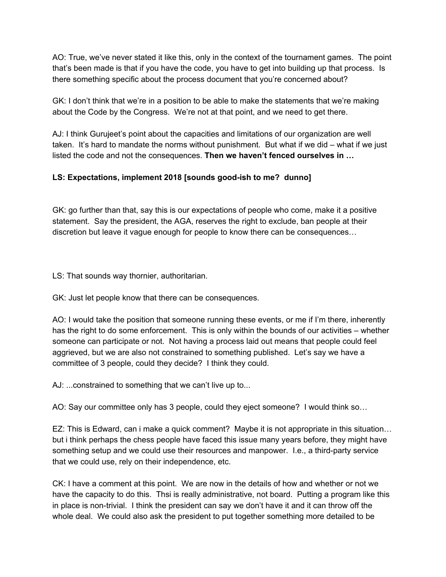AO: True, we've never stated it like this, only in the context of the tournament games. The point that's been made is that if you have the code, you have to get into building up that process. Is there something specific about the process document that you're concerned about?

GK: I don't think that we're in a position to be able to make the statements that we're making about the Code by the Congress. We're not at that point, and we need to get there.

AJ: I think Gurujeet's point about the capacities and limitations of our organization are well taken. It's hard to mandate the norms without punishment. But what if we did – what if we just listed the code and not the consequences. **Then we haven't fenced ourselves in …**

# **LS: Expectations, implement 2018 [sounds good-ish to me? dunno]**

GK: go further than that, say this is our expectations of people who come, make it a positive statement. Say the president, the AGA, reserves the right to exclude, ban people at their discretion but leave it vague enough for people to know there can be consequences…

LS: That sounds way thornier, authoritarian.

GK: Just let people know that there can be consequences.

AO: I would take the position that someone running these events, or me if I'm there, inherently has the right to do some enforcement. This is only within the bounds of our activities – whether someone can participate or not. Not having a process laid out means that people could feel aggrieved, but we are also not constrained to something published. Let's say we have a committee of 3 people, could they decide? I think they could.

AJ: ...constrained to something that we can't live up to...

AO: Say our committee only has 3 people, could they eject someone? I would think so…

EZ: This is Edward, can i make a quick comment? Maybe it is not appropriate in this situation… but i think perhaps the chess people have faced this issue many years before, they might have something setup and we could use their resources and manpower. I.e., a third-party service that we could use, rely on their independence, etc.

CK: I have a comment at this point. We are now in the details of how and whether or not we have the capacity to do this. Thsi is really administrative, not board. Putting a program like this in place is non-trivial. I think the president can say we don't have it and it can throw off the whole deal. We could also ask the president to put together something more detailed to be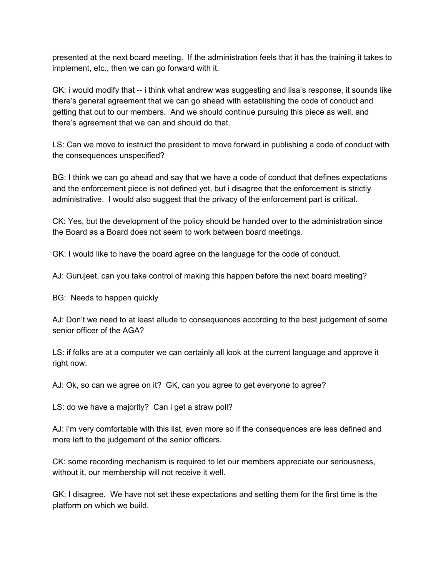presented at the next board meeting. If the administration feels that it has the training it takes to implement, etc., then we can go forward with it.

GK: i would modify that -- i think what andrew was suggesting and lisa's response, it sounds like there's general agreement that we can go ahead with establishing the code of conduct and getting that out to our members. And we should continue pursuing this piece as well, and there's agreement that we can and should do that.

LS: Can we move to instruct the president to move forward in publishing a code of conduct with the consequences unspecified?

BG: I think we can go ahead and say that we have a code of conduct that defines expectations and the enforcement piece is not defined yet, but i disagree that the enforcement is strictly administrative. I would also suggest that the privacy of the enforcement part is critical.

CK: Yes, but the development of the policy should be handed over to the administration since the Board as a Board does not seem to work between board meetings.

GK: I would like to have the board agree on the language for the code of conduct.

AJ: Gurujeet, can you take control of making this happen before the next board meeting?

BG: Needs to happen quickly

AJ: Don't we need to at least allude to consequences according to the best judgement of some senior officer of the AGA?

LS: if folks are at a computer we can certainly all look at the current language and approve it right now.

AJ: Ok, so can we agree on it? GK, can you agree to get everyone to agree?

LS: do we have a majority? Can i get a straw poll?

AJ: i'm very comfortable with this list, even more so if the consequences are less defined and more left to the judgement of the senior officers.

CK: some recording mechanism is required to let our members appreciate our seriousness, without it, our membership will not receive it well.

GK: I disagree. We have not set these expectations and setting them for the first time is the platform on which we build.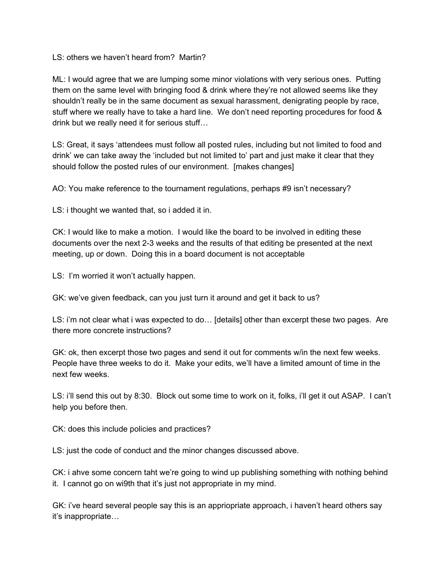LS: others we haven't heard from? Martin?

ML: I would agree that we are lumping some minor violations with very serious ones. Putting them on the same level with bringing food & drink where they're not allowed seems like they shouldn't really be in the same document as sexual harassment, denigrating people by race, stuff where we really have to take a hard line. We don't need reporting procedures for food & drink but we really need it for serious stuff…

LS: Great, it says 'attendees must follow all posted rules, including but not limited to food and drink' we can take away the 'included but not limited to' part and just make it clear that they should follow the posted rules of our environment. [makes changes]

AO: You make reference to the tournament regulations, perhaps #9 isn't necessary?

LS: i thought we wanted that, so i added it in.

CK: I would like to make a motion. I would like the board to be involved in editing these documents over the next 2-3 weeks and the results of that editing be presented at the next meeting, up or down. Doing this in a board document is not acceptable

LS: I'm worried it won't actually happen.

GK: we've given feedback, can you just turn it around and get it back to us?

LS: i'm not clear what i was expected to do… [details] other than excerpt these two pages. Are there more concrete instructions?

GK: ok, then excerpt those two pages and send it out for comments w/in the next few weeks. People have three weeks to do it. Make your edits, we'll have a limited amount of time in the next few weeks.

LS: i'll send this out by 8:30. Block out some time to work on it, folks, i'll get it out ASAP. I can't help you before then.

CK: does this include policies and practices?

LS: just the code of conduct and the minor changes discussed above.

CK: i ahve some concern taht we're going to wind up publishing something with nothing behind it. I cannot go on wi9th that it's just not appropriate in my mind.

GK: i've heard several people say this is an appriopriate approach, i haven't heard others say it's inappropriate…